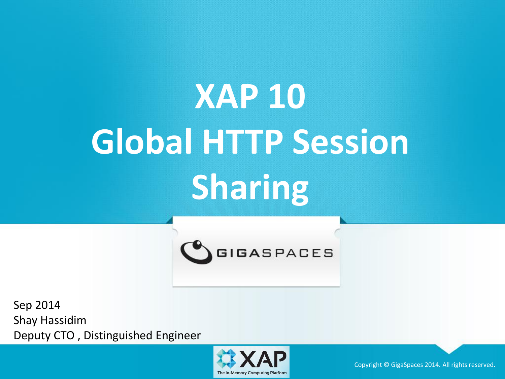# **XAP 10 Global HTTP Session Sharing**



Sep 2014 Shay Hassidim Deputy CTO , Distinguished Engineer



Copyright © GigaSpaces 2014. All rights reserved.<br>The In-Memory Computing Platform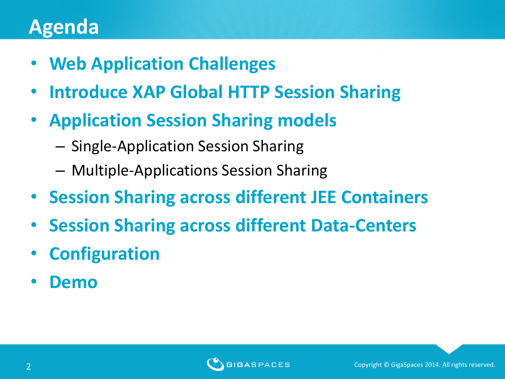### **Agenda**

- **Web Application Challenges**
- **Introduce XAP Global HTTP Session Sharing**
- **Application Session Sharing models**
	- Single-Application Session Sharing
	- Multiple-Applications Session Sharing
- **Session Sharing across different JEE Containers**
- **Session Sharing across different Data-Centers**
- **Configuration**
- **Demo**

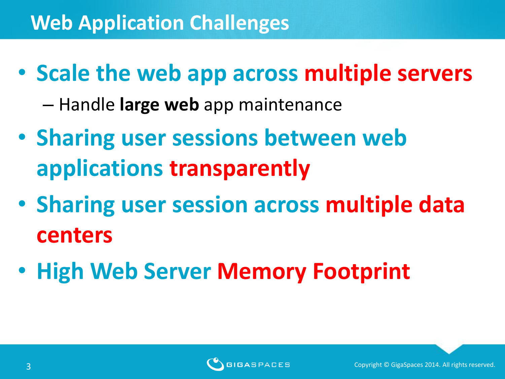• **Scale the web app across multiple servers**

– Handle **large web** app maintenance

- **Sharing user sessions between web applications transparently**
- **Sharing user session across multiple data centers**
- **High Web Server Memory Footprint**

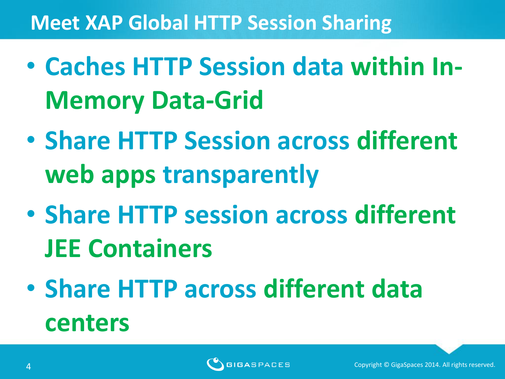### **Meet XAP Global HTTP Session Sharing**

- **Caches HTTP Session data within In-Memory Data-Grid**
- **Share HTTP Session across different web apps transparently**
- **Share HTTP session across different JEE Containers**
- **Share HTTP across different data centers**

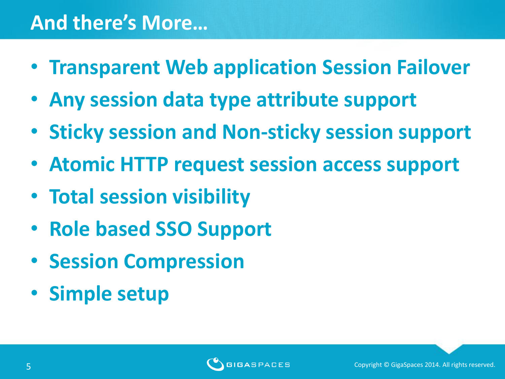#### **And there's More…**

- **Transparent Web application Session Failover**
- **Any session data type attribute support**
- **Sticky session and Non-sticky session support**
- **Atomic HTTP request session access support**
- **Total session visibility**
- **Role based SSO Support**
- **Session Compression**
- **Simple setup**

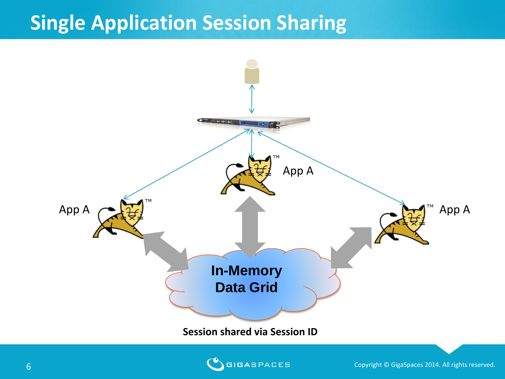#### **Single Application Session Sharing**





Copyright © GigaSpaces 2014. All rights reserved.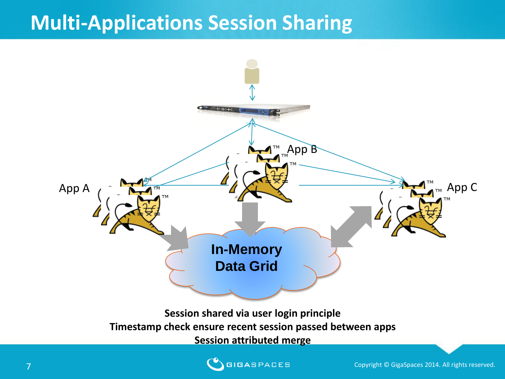#### **Multi-Applications Session Sharing**



#### **Session shared via user login principle Timestamp check ensure recent session passed between apps Session attributed merge**



**Copyright © GigaSpaces 2014.** All rights reserved.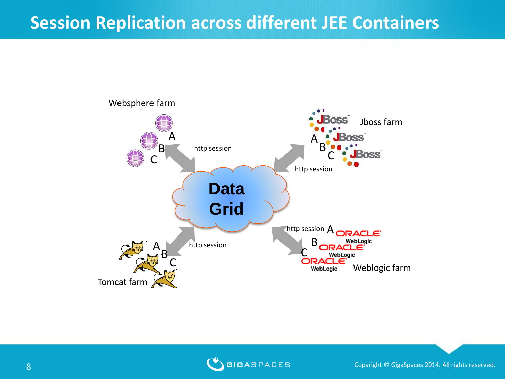#### **Session Replication across different JEE Containers**





8 Copyright © GigaSpaces 2014. All rights reserved. Sometimes and Copyright © GigaSpaces 2014. All rights reserved.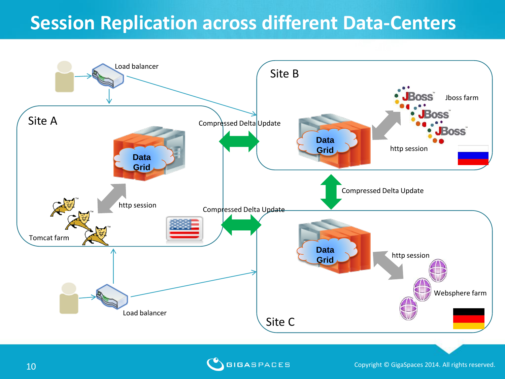#### **Session Replication across different Data-Centers**



**COPYRIGASPACES** Copyright © GigaSpaces 2014. All rights reserved.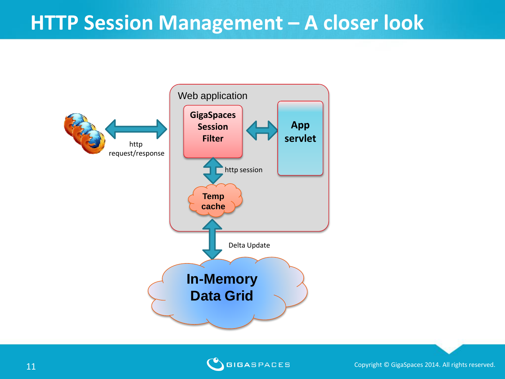#### **HTTP Session Management – A closer look**





**COPYRIGASPACES** Copyright © GigaSpaces 2014. All rights reserved.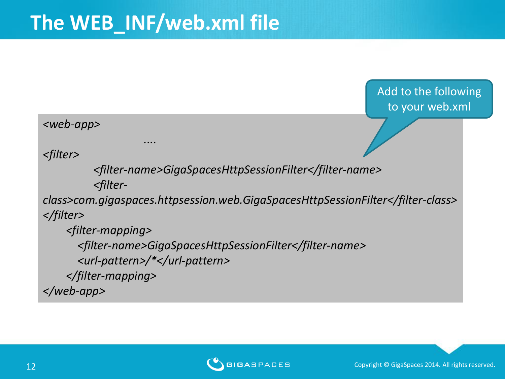*....*

Add to the following to your web.xml

#### *<web-app>*

*<filter>*

 *<filter-name>GigaSpacesHttpSessionFilter</filter-name> <filter-*

*class>com.gigaspaces.httpsession.web.GigaSpacesHttpSessionFilter</filter-class> </filter>*

 *<filter-mapping> <filter-name>GigaSpacesHttpSessionFilter</filter-name> <url-pattern>/\*</url-pattern> </filter-mapping> </web-app>*

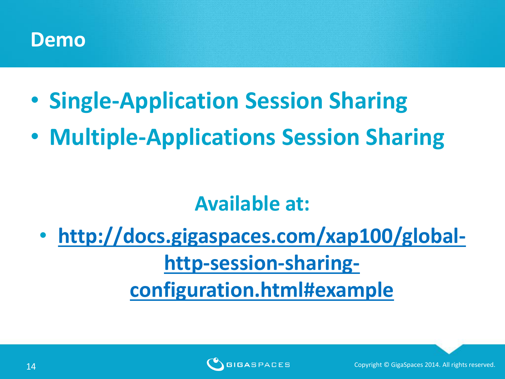#### **Demo**

- **Single-Application Session Sharing**
- **Multiple-Applications Session Sharing**

#### **Available at:**

• **[http://docs.gigaspaces.com/xap100/global](http://docs.gigaspaces.com/xap100/global-http-session-sharing-configuration.html)[http-session-sharing](http://docs.gigaspaces.com/xap100/global-http-session-sharing-configuration.html)[configuration.html#example](http://docs.gigaspaces.com/xap100/global-http-session-sharing-configuration.html)**

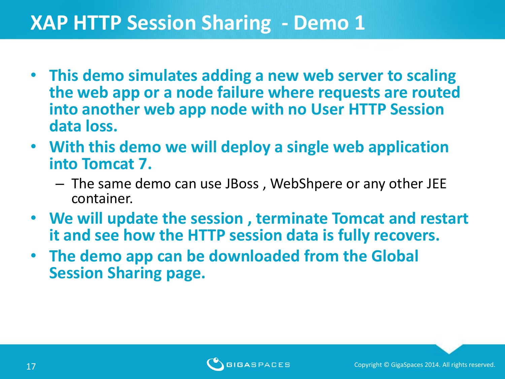#### **XAP HTTP Session Sharing - Demo 1**

- **This demo simulates adding a new web server to scaling the web app or a node failure where requests are routed into another web app node with no User HTTP Session data loss.**
- **With this demo we will deploy a single web application into Tomcat 7.** 
	- The same demo can use JBoss , WebShpere or any other JEE container.
- **We will update the session , terminate Tomcat and restart it and see how the HTTP session data is fully recovers.**
- **The demo app can be downloaded from the Global Session Sharing page.**

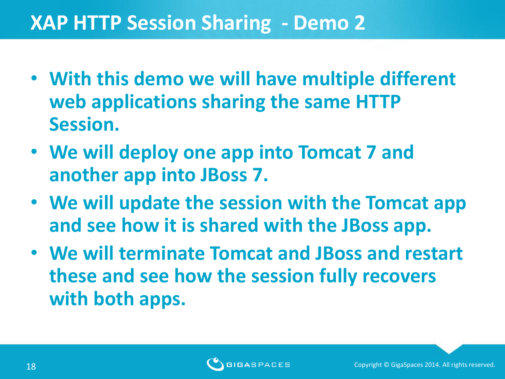#### **XAP HTTP Session Sharing - Demo 2**

- **With this demo we will have multiple different web applications sharing the same HTTP Session.**
- **We will deploy one app into Tomcat 7 and another app into JBoss 7.**
- **We will update the session with the Tomcat app and see how it is shared with the JBoss app.**
- **We will terminate Tomcat and JBoss and restart these and see how the session fully recovers with both apps.**

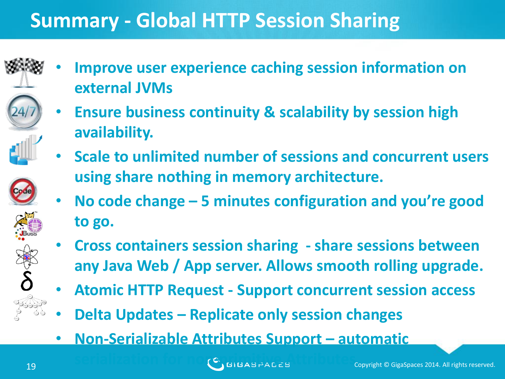## **Summary - Global HTTP Session Sharing**

- 
- 

**external JVMs**

**availability.**

- 
- 
- **using share nothing in memory architecture.** • **No code change – 5 minutes configuration and you're good to go.**

• **Scale to unlimited number of sessions and concurrent users** 

• **Improve user experience caching session information on** 

• **Ensure business continuity & scalability by session high** 

- **Cross containers session sharing - share sessions between any Java Web / App server. Allows smooth rolling upgrade.**
- **Atomic HTTP Request - Support concurrent session access**
- **Delta Updates – Replicate only session changes**
- **Non-Serializable Attributes Support – automatic**